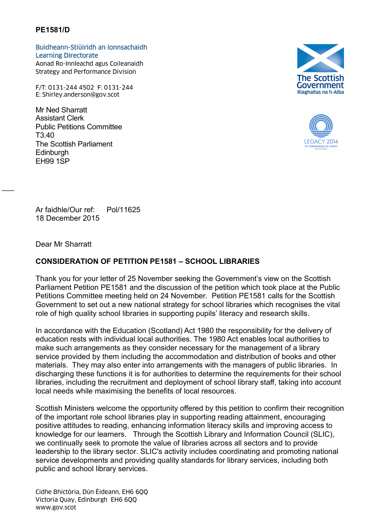## **PE1581/D**

Buidheann-Stiùiridh an Ionnsachaidh Learning Directorate Aonad Ro-Innleachd agus Coileanaidh Buidheann-Stiùiridh an Ionnsachaidh<br>Learning Directorate<br>Aonad Ro-Innleachd agus Coileanaidh<br>Strategy and Performance Division<br>F/T: 0131-244 4502 F: 0131-244<br>E: Shirley.anderson@gov.scot

Strategy and Performance Division

F/T: 0131-244 4502 F: 0131-244<br>E: Shirley.anderson@gov.scot

Mr Ned Sharratt Assistant Clerk Public Petitions Committee T3.40 The Scottish Parliament **Edinburgh** EH99 1SP





Ar faidhle/Our ref: Pol/11625 18 December 2015

Dear Mr Sharratt

 $\overline{\phantom{a}}$ 

## **CONSIDERATION OF PETITION PE1581 – SCHOOL LIBRARIES**

Thank you for your letter of 25 November seeking the Government's view on the Scottish Parliament Petition PE1581 and the discussion of the petition which took place at the Public Petitions Committee meeting held on 24 November. Petition PE1581 calls for the Scottish Government to set out a new national strategy for school libraries which recognises the vital role of high quality school libraries in supporting pupils' literacy and research skills.

In accordance with the Education (Scotland) Act 1980 the responsibility for the delivery of education rests with individual local authorities. The 1980 Act enables local authorities to make such arrangements as they consider necessary for the management of a library service provided by them including the accommodation and distribution of books and other materials. They may also enter into arrangements with the managers of public libraries. In discharging these functions it is for authorities to determine the requirements for their school libraries, including the recruitment and deployment of school library staff, taking into account local needs while maximising the benefits of local resources.

Scottish Ministers welcome the opportunity offered by this petition to confirm their recognition of the important role school libraries play in supporting reading attainment, encouraging positive attitudes to reading, enhancing information literacy skills and improving access to knowledge for our learners. Through the Scottish Library and Information Council (SLIC), we continually seek to promote the value of libraries across all sectors and to provide leadership to the library sector. SLIC's activity includes coordinating and promoting national service developments and providing quality standards for library services, including both public and school library services.

Cidhe Bhictòria, Dùn Èideann, EH6 6QQ Victoria Quay, Edinburgh EH6 6QQ www.gov.scot